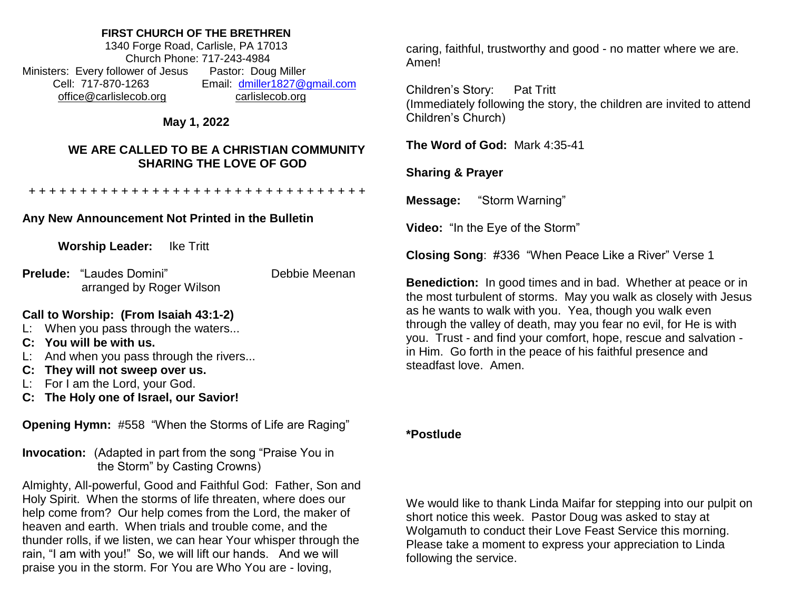#### **FIRST CHURCH OF THE BRETHREN**

1340 Forge Road, Carlisle, PA 17013 Church Phone: 717-243-4984 Ministers: Every follower of Jesus Pastor: Doug Miller Cell: 717-870-1263 Email: [dmiller1827@gmail.com](mailto:dmiller1827@gmail.com) [office@carlislecob.org](mailto:office@carlislecob.org) carlislecob.org

# **May 1, 2022**

## **WE ARE CALLED TO BE A CHRISTIAN COMMUNITY SHARING THE LOVE OF GOD**

+ + + + + + + + + + + + + + + + + + + + + + + + + + + + + + + + +

### **Any New Announcement Not Printed in the Bulletin**

**Worship Leader:** Ike Tritt

**Prelude:** "Laudes Domini" Debbie Meenan arranged by Roger Wilson

### **Call to Worship: (From Isaiah 43:1-2)**

- L: When you pass through the waters...
- **C: You will be with us.**
- L: And when you pass through the rivers...
- **C: They will not sweep over us.**
- L: For I am the Lord, your God.
- **C: The Holy one of Israel, our Savior!**

**Opening Hymn:** #558 "When the Storms of Life are Raging"

**Invocation:** (Adapted in part from the song "Praise You in the Storm" by Casting Crowns)

Almighty, All-powerful, Good and Faithful God: Father, Son and Holy Spirit. When the storms of life threaten, where does our help come from? Our help comes from the Lord, the maker of heaven and earth. When trials and trouble come, and the thunder rolls, if we listen, we can hear Your whisper through the rain, "I am with you!" So, we will lift our hands. And we will praise you in the storm. For You are Who You are - loving,

caring, faithful, trustworthy and good - no matter where we are. Amen!

Children's Story: Pat Tritt (Immediately following the story, the children are invited to attend Children's Church)

**The Word of God:** Mark 4:35-41

**Sharing & Prayer**

**Message:** "Storm Warning"

**Video:** "In the Eye of the Storm"

**Closing Song**: #336 "When Peace Like a River" Verse 1

**Benediction:** In good times and in bad. Whether at peace or in the most turbulent of storms. May you walk as closely with Jesus as he wants to walk with you. Yea, though you walk even through the valley of death, may you fear no evil, for He is with you. Trust - and find your comfort, hope, rescue and salvation in Him. Go forth in the peace of his faithful presence and steadfast love. Amen.

#### **\*Postlude**

We would like to thank Linda Maifar for stepping into our pulpit on short notice this week. Pastor Doug was asked to stay at Wolgamuth to conduct their Love Feast Service this morning. Please take a moment to express your appreciation to Linda following the service.